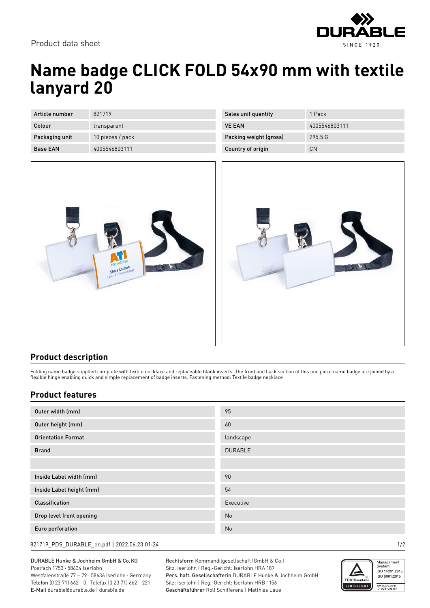

## **Name badge CLICK FOLD 54x90 mm with textile lanyard 20**

| Article number  | 821719           |
|-----------------|------------------|
| Colour          | transparent      |
| Packaging unit  | 10 pieces / pack |
| <b>Base FAN</b> | 4005546803111    |

| Sales unit quantity    | 1 Pack        |
|------------------------|---------------|
| <b>VE FAN</b>          | 4005546803111 |
| Packing weight (gross) | 295.5G        |
| Country of origin      | CΝ            |





## **Product description**

Folding name badge supplied complete with textile necklace and replaceable blank inserts. The front and back section of this one piece name badge are joined by a flexible hinge enabling quick and simple replacement of badge inserts. Fastening method: Textile badge necklace

## **Product features**

| Outer width (mm)          | 95             |
|---------------------------|----------------|
| Outer height (mm)         | 60             |
| <b>Orientation Format</b> | landscape      |
| <b>Brand</b>              | <b>DURABLE</b> |
|                           |                |
| Inside Label width (mm)   | 90             |
| Inside Label height (mm)  | 54             |
| <b>Classification</b>     | Executive      |
| Drop level front opening  | No             |
| Euro perforation          | No             |

821719\_PDS\_DURABLE\_en.pdf | 2022.06.23 01:24 1/2

DURABLE Hunke & Jochheim GmbH & Co.KG Postfach 1753 · 58634 Iserlohn Westfalenstraße 77 – 79 · 58636 Iserlohn · Germany Telefon (0 23 71) 662 - 0 · Telefax (0 23 71) 662 - 221 E-Mail durable@durable.de | durable.de

Rechtsform Kommanditgesellschaft (GmbH & Co.) Sitz: Iserlohn | Reg.-Gericht: Iserlohn HRA 187 Pers. haft. Gesellschafterin DURABLE Hunke & Jochheim GmbH Sitz: Iserlohn | Reg.-Gericht: Iserlohn HRB 1156 Geschäftsführer Rolf Schifferens | Matthias Laue